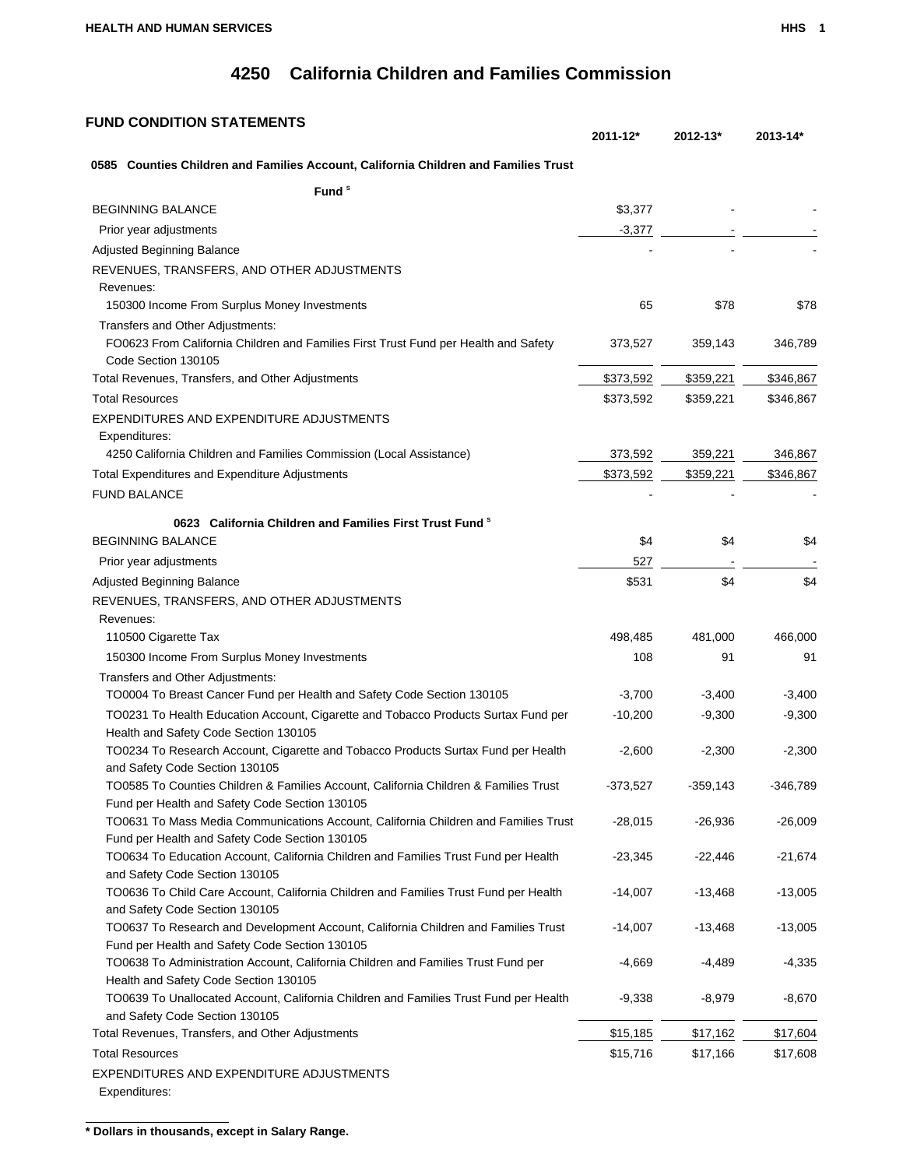## **4250 California Children and Families Commission**

## **FUND CONDITION STATEMENTS**

| 0585 Counties Children and Families Account, California Children and Families Trust                                    |            |            |           |
|------------------------------------------------------------------------------------------------------------------------|------------|------------|-----------|
| Fund <sup>s</sup>                                                                                                      |            |            |           |
| <b>BEGINNING BALANCE</b>                                                                                               | \$3,377    |            |           |
| Prior year adjustments                                                                                                 | $-3,377$   |            |           |
| Adjusted Beginning Balance                                                                                             |            |            |           |
| REVENUES, TRANSFERS, AND OTHER ADJUSTMENTS                                                                             |            |            |           |
| Revenues:                                                                                                              |            |            |           |
| 150300 Income From Surplus Money Investments                                                                           | 65         | \$78       | \$78      |
| Transfers and Other Adjustments:                                                                                       |            |            |           |
| FO0623 From California Children and Families First Trust Fund per Health and Safety                                    | 373,527    | 359,143    | 346,789   |
| Code Section 130105                                                                                                    |            |            |           |
| Total Revenues, Transfers, and Other Adjustments                                                                       | \$373,592  | \$359,221  | \$346,867 |
| <b>Total Resources</b>                                                                                                 | \$373,592  | \$359,221  | \$346,867 |
| EXPENDITURES AND EXPENDITURE ADJUSTMENTS                                                                               |            |            |           |
| Expenditures:                                                                                                          |            |            |           |
| 4250 California Children and Families Commission (Local Assistance)                                                    | 373,592    | 359,221    | 346,867   |
| Total Expenditures and Expenditure Adjustments                                                                         | \$373,592  | \$359,221  | \$346,867 |
| <b>FUND BALANCE</b>                                                                                                    |            |            |           |
| 0623 California Children and Families First Trust Fund <sup>8</sup>                                                    |            |            |           |
| <b>BEGINNING BALANCE</b>                                                                                               | \$4        | \$4        | \$4       |
| Prior year adjustments                                                                                                 | 527        |            |           |
| Adjusted Beginning Balance                                                                                             | \$531      | \$4        | \$4       |
|                                                                                                                        |            |            |           |
| REVENUES, TRANSFERS, AND OTHER ADJUSTMENTS<br>Revenues:                                                                |            |            |           |
| 110500 Cigarette Tax                                                                                                   | 498,485    | 481,000    | 466,000   |
| 150300 Income From Surplus Money Investments                                                                           | 108        | 91         | 91        |
| Transfers and Other Adjustments:                                                                                       |            |            |           |
| TO0004 To Breast Cancer Fund per Health and Safety Code Section 130105                                                 | $-3,700$   | $-3,400$   | $-3,400$  |
| TO0231 To Health Education Account, Cigarette and Tobacco Products Surtax Fund per                                     | $-10,200$  | $-9,300$   | $-9,300$  |
| Health and Safety Code Section 130105                                                                                  |            |            |           |
| TO0234 To Research Account, Cigarette and Tobacco Products Surtax Fund per Health                                      | $-2,600$   | $-2,300$   | $-2,300$  |
| and Safety Code Section 130105                                                                                         |            |            |           |
| TO0585 To Counties Children & Families Account, California Children & Families Trust                                   | $-373,527$ | $-359,143$ | -346,789  |
| Fund per Health and Safety Code Section 130105                                                                         |            |            |           |
| TO0631 To Mass Media Communications Account, California Children and Families Trust                                    | $-28,015$  | $-26,936$  | $-26,009$ |
| Fund per Health and Safety Code Section 130105                                                                         |            |            |           |
| TO0634 To Education Account, California Children and Families Trust Fund per Health                                    | $-23,345$  | $-22,446$  | $-21,674$ |
| and Safety Code Section 130105                                                                                         |            |            |           |
| TO0636 To Child Care Account, California Children and Families Trust Fund per Health<br>and Safety Code Section 130105 | $-14,007$  | $-13,468$  | $-13,005$ |
| TO0637 To Research and Development Account, California Children and Families Trust                                     | $-14,007$  | $-13,468$  | $-13,005$ |
| Fund per Health and Safety Code Section 130105                                                                         |            |            |           |
| TO0638 To Administration Account, California Children and Families Trust Fund per                                      | $-4,669$   | $-4,489$   | $-4,335$  |
| Health and Safety Code Section 130105                                                                                  |            |            |           |
| TO0639 To Unallocated Account, California Children and Families Trust Fund per Health                                  | $-9,338$   | $-8,979$   | $-8,670$  |
| and Safety Code Section 130105                                                                                         |            |            |           |
| Total Revenues, Transfers, and Other Adjustments                                                                       | \$15,185   | \$17,162   | \$17,604  |
| <b>Total Resources</b>                                                                                                 | \$15,716   | \$17,166   | \$17,608  |
| EXPENDITURES AND EXPENDITURE ADJUSTMENTS                                                                               |            |            |           |
| Expenditures:                                                                                                          |            |            |           |

**\* Dollars in thousands, except in Salary Range.**

**2011-12\* 2012-13\* 2013-14\***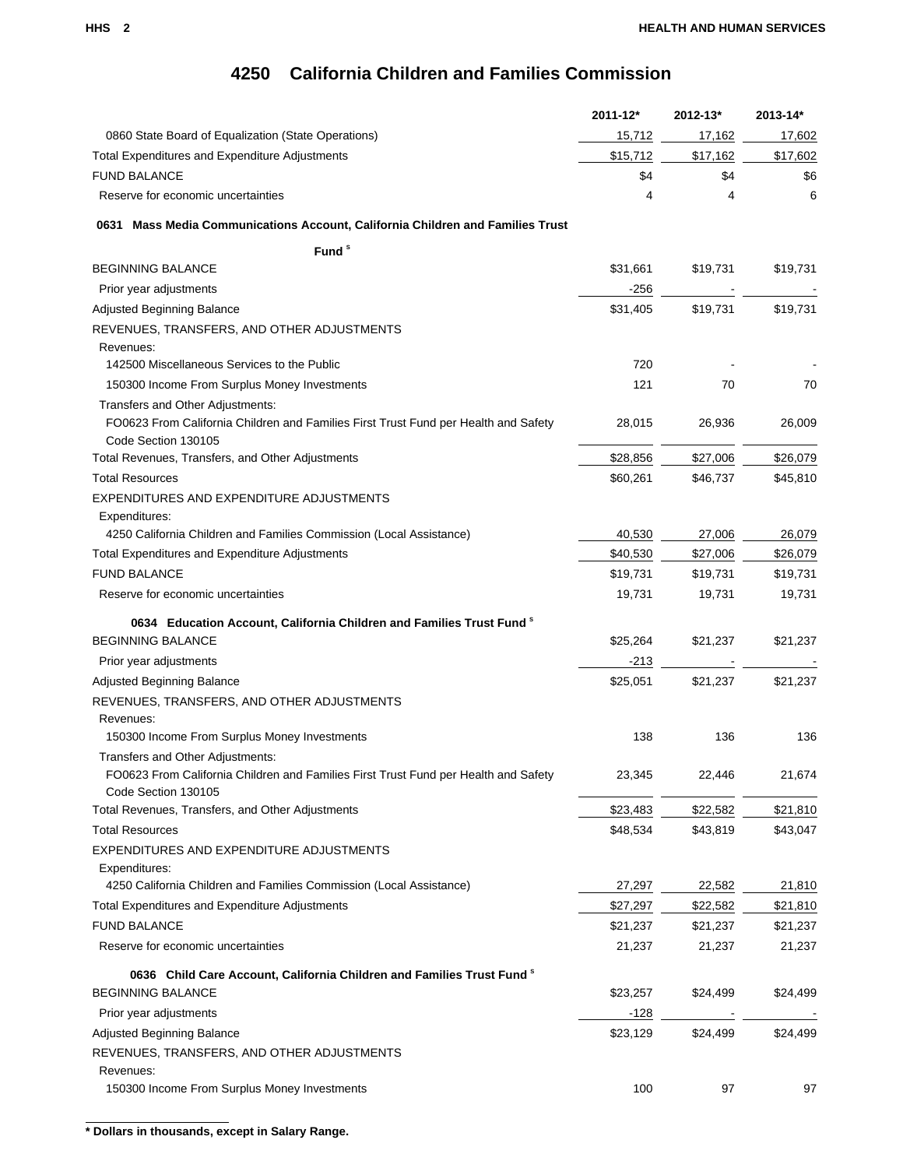## **4250 California Children and Families Commission**

|                                                                                     | 2011-12* | 2012-13* | 2013-14* |
|-------------------------------------------------------------------------------------|----------|----------|----------|
| 0860 State Board of Equalization (State Operations)                                 | 15,712   | 17,162   | 17,602   |
| <b>Total Expenditures and Expenditure Adjustments</b>                               | \$15,712 | \$17,162 | \$17,602 |
| <b>FUND BALANCE</b>                                                                 | \$4      | \$4      | \$6      |
| Reserve for economic uncertainties                                                  | 4        | 4        | 6        |
| Mass Media Communications Account, California Children and Families Trust<br>0631   |          |          |          |
| Fund <sup>s</sup>                                                                   |          |          |          |
| <b>BEGINNING BALANCE</b>                                                            | \$31,661 | \$19,731 | \$19,731 |
| Prior year adjustments                                                              | -256     |          |          |
| Adjusted Beginning Balance                                                          | \$31,405 | \$19,731 | \$19,731 |
| REVENUES, TRANSFERS, AND OTHER ADJUSTMENTS                                          |          |          |          |
| Revenues:                                                                           |          |          |          |
| 142500 Miscellaneous Services to the Public                                         | 720      |          |          |
| 150300 Income From Surplus Money Investments                                        | 121      | 70       | 70       |
| Transfers and Other Adjustments:                                                    |          |          |          |
| FO0623 From California Children and Families First Trust Fund per Health and Safety | 28,015   | 26,936   | 26,009   |
| Code Section 130105                                                                 |          |          |          |
| Total Revenues, Transfers, and Other Adjustments                                    | \$28,856 | \$27,006 | \$26,079 |
| <b>Total Resources</b>                                                              | \$60,261 | \$46,737 | \$45,810 |
| EXPENDITURES AND EXPENDITURE ADJUSTMENTS                                            |          |          |          |
| Expenditures:                                                                       |          |          |          |
| 4250 California Children and Families Commission (Local Assistance)                 | 40,530   | 27,006   | 26,079   |
| <b>Total Expenditures and Expenditure Adjustments</b>                               | \$40,530 | \$27,006 | \$26,079 |
| <b>FUND BALANCE</b>                                                                 | \$19,731 | \$19,731 | \$19,731 |
| Reserve for economic uncertainties                                                  | 19,731   | 19,731   | 19,731   |
| 0634 Education Account, California Children and Families Trust Fund <sup>8</sup>    |          |          |          |
| <b>BEGINNING BALANCE</b>                                                            | \$25,264 | \$21,237 | \$21,237 |
| Prior year adjustments                                                              | -213     |          |          |
| Adjusted Beginning Balance                                                          | \$25,051 | \$21,237 | \$21,237 |
| REVENUES, TRANSFERS, AND OTHER ADJUSTMENTS                                          |          |          |          |
| Revenues:                                                                           |          |          |          |
| 150300 Income From Surplus Money Investments                                        | 138      | 136      | 136      |
| Transfers and Other Adjustments:                                                    |          |          |          |
| FO0623 From California Children and Families First Trust Fund per Health and Safety | 23,345   | 22,446   | 21,674   |
| Code Section 130105                                                                 |          |          |          |
| Total Revenues, Transfers, and Other Adjustments                                    | \$23,483 | \$22,582 | \$21,810 |
| <b>Total Resources</b>                                                              | \$48,534 | \$43,819 | \$43,047 |
| EXPENDITURES AND EXPENDITURE ADJUSTMENTS                                            |          |          |          |
| Expenditures:                                                                       |          |          |          |
| 4250 California Children and Families Commission (Local Assistance)                 | 27,297   | 22,582   | 21,810   |
| <b>Total Expenditures and Expenditure Adjustments</b>                               | \$27,297 | \$22,582 | \$21,810 |
| <b>FUND BALANCE</b>                                                                 | \$21,237 | \$21,237 | \$21,237 |
| Reserve for economic uncertainties                                                  | 21,237   | 21,237   | 21,237   |
| 0636 Child Care Account, California Children and Families Trust Fund <sup>8</sup>   |          |          |          |
| <b>BEGINNING BALANCE</b>                                                            | \$23,257 | \$24,499 | \$24,499 |
| Prior year adjustments                                                              | $-128$   |          |          |
| Adjusted Beginning Balance                                                          | \$23,129 | \$24,499 | \$24,499 |
| REVENUES, TRANSFERS, AND OTHER ADJUSTMENTS                                          |          |          |          |
| Revenues:                                                                           |          |          |          |
| 150300 Income From Surplus Money Investments                                        | 100      | 97       | 97       |
|                                                                                     |          |          |          |

**\* Dollars in thousands, except in Salary Range.**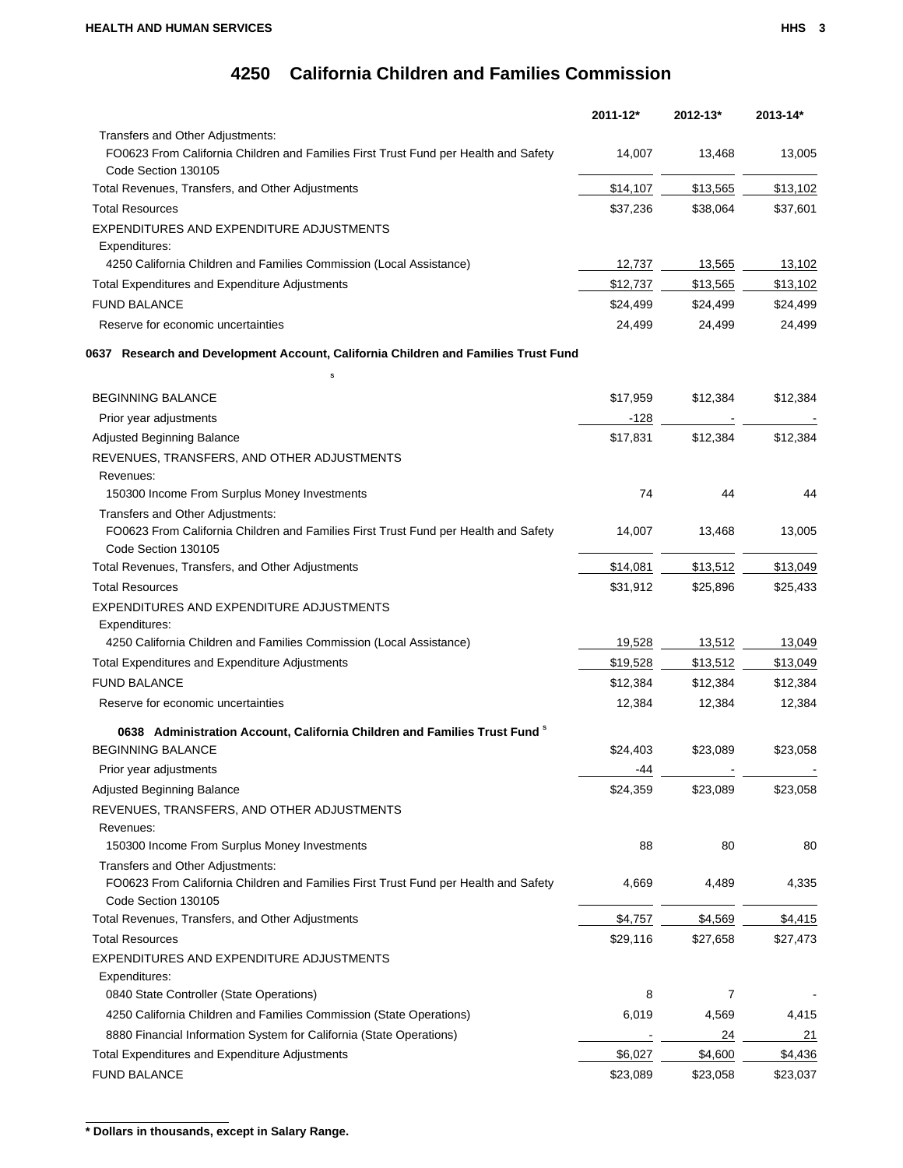|                                                                                                                         | 2011-12* | $2012 - 13*$ | 2013-14* |
|-------------------------------------------------------------------------------------------------------------------------|----------|--------------|----------|
| Transfers and Other Adjustments:                                                                                        |          |              |          |
| FO0623 From California Children and Families First Trust Fund per Health and Safety<br>Code Section 130105              | 14,007   | 13,468       | 13,005   |
| Total Revenues, Transfers, and Other Adjustments                                                                        | \$14,107 | \$13,565     | \$13,102 |
| <b>Total Resources</b>                                                                                                  | \$37,236 | \$38,064     | \$37,601 |
| EXPENDITURES AND EXPENDITURE ADJUSTMENTS<br>Expenditures:                                                               |          |              |          |
| 4250 California Children and Families Commission (Local Assistance)                                                     | 12,737   | 13,565       | 13,102   |
| <b>Total Expenditures and Expenditure Adjustments</b>                                                                   | \$12,737 | \$13,565     | \$13,102 |
| <b>FUND BALANCE</b>                                                                                                     | \$24,499 | \$24,499     | \$24,499 |
| Reserve for economic uncertainties                                                                                      | 24,499   | 24,499       | 24,499   |
| 0637 Research and Development Account, California Children and Families Trust Fund                                      |          |              |          |
| s<br><b>BEGINNING BALANCE</b>                                                                                           | \$17,959 | \$12,384     | \$12,384 |
| Prior year adjustments                                                                                                  | $-128$   |              |          |
| Adjusted Beginning Balance                                                                                              | \$17,831 | \$12,384     | \$12,384 |
| REVENUES, TRANSFERS, AND OTHER ADJUSTMENTS                                                                              |          |              |          |
| Revenues:                                                                                                               |          |              |          |
| 150300 Income From Surplus Money Investments                                                                            | 74       | 44           | 44       |
| Transfers and Other Adjustments:                                                                                        |          |              |          |
| FO0623 From California Children and Families First Trust Fund per Health and Safety<br>Code Section 130105              | 14,007   | 13,468       | 13,005   |
| Total Revenues, Transfers, and Other Adjustments                                                                        | \$14,081 | \$13,512     | \$13,049 |
| <b>Total Resources</b>                                                                                                  | \$31,912 | \$25,896     | \$25,433 |
| EXPENDITURES AND EXPENDITURE ADJUSTMENTS<br>Expenditures:                                                               |          |              |          |
| 4250 California Children and Families Commission (Local Assistance)                                                     | 19,528   | 13,512       | 13,049   |
| Total Expenditures and Expenditure Adjustments                                                                          | \$19,528 | \$13,512     | \$13,049 |
| <b>FUND BALANCE</b>                                                                                                     | \$12,384 | \$12,384     | \$12,384 |
| Reserve for economic uncertainties                                                                                      | 12,384   | 12,384       | 12,384   |
|                                                                                                                         |          |              |          |
| 0638 Administration Account, California Children and Families Trust Fund <sup>8</sup>                                   |          |              |          |
| <b>BEGINNING BALANCE</b>                                                                                                | \$24,403 | \$23,089     | \$23,058 |
| Prior year adjustments                                                                                                  | -44      |              |          |
| Adjusted Beginning Balance                                                                                              | \$24,359 | \$23,089     | \$23,058 |
| REVENUES, TRANSFERS, AND OTHER ADJUSTMENTS                                                                              |          |              |          |
| Revenues:                                                                                                               |          |              |          |
| 150300 Income From Surplus Money Investments                                                                            | 88       | 80           | 80       |
| Transfers and Other Adjustments:<br>FO0623 From California Children and Families First Trust Fund per Health and Safety | 4,669    | 4,489        | 4,335    |
| Code Section 130105                                                                                                     |          |              |          |
| Total Revenues, Transfers, and Other Adjustments                                                                        | \$4,757  | \$4,569      | \$4,415  |
| <b>Total Resources</b>                                                                                                  | \$29,116 | \$27,658     | \$27,473 |
| EXPENDITURES AND EXPENDITURE ADJUSTMENTS                                                                                |          |              |          |
| Expenditures:                                                                                                           |          |              |          |
| 0840 State Controller (State Operations)                                                                                | 8        | 7            |          |
| 4250 California Children and Families Commission (State Operations)                                                     | 6,019    | 4,569        | 4,415    |
| 8880 Financial Information System for California (State Operations)                                                     |          | 24           | 21       |
| <b>Total Expenditures and Expenditure Adjustments</b>                                                                   | \$6,027  | \$4,600      | \$4,436  |
| <b>FUND BALANCE</b>                                                                                                     | \$23,089 | \$23,058     | \$23,037 |